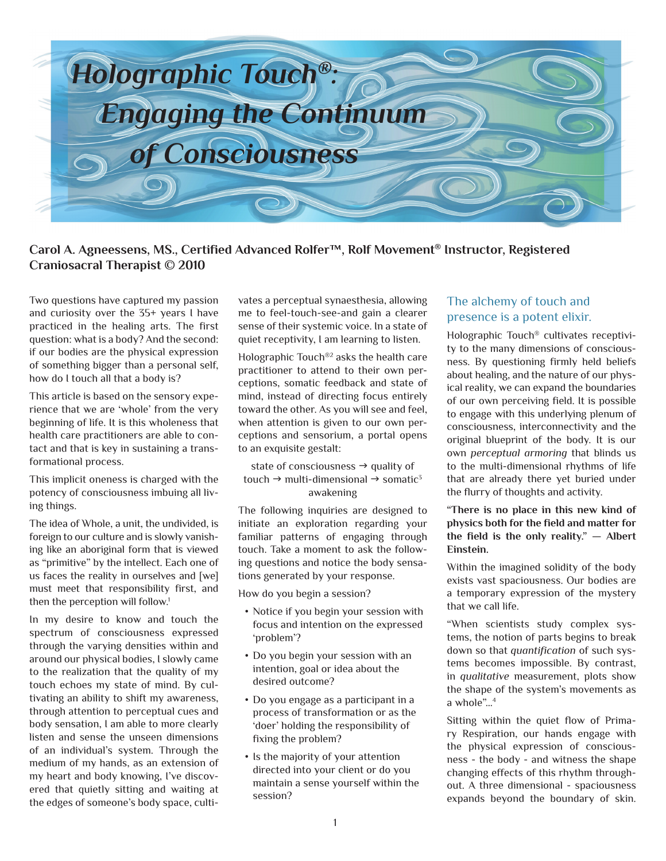

# **Carol A. Agneessens, MS., Certified Advanced Rolfer™, Rolf Movement® Instructor, Registered Craniosacral Therapist © 2010**

Two questions have captured my passion and curiosity over the 35+ years I have practiced in the healing arts. The first question: what is a body? And the second: if our bodies are the physical expression of something bigger than a personal self, how do I touch all that a body is?

This article is based on the sensory experience that we are 'whole' from the very beginning of life. It is this wholeness that health care practitioners are able to contact and that is key in sustaining a transformational process.

This implicit oneness is charged with the potency of consciousness imbuing all living things.

The idea of Whole, a unit, the undivided, is foreign to our culture and is slowly vanishing like an aboriginal form that is viewed as "primitive" by the intellect. Each one of us faces the reality in ourselves and [we] must meet that responsibility first, and then the perception will follow.<sup>1</sup>

In my desire to know and touch the spectrum of consciousness expressed through the varying densities within and around our physical bodies, I slowly came to the realization that the quality of my touch echoes my state of mind. By cultivating an ability to shift my awareness, through attention to perceptual cues and body sensation, I am able to more clearly listen and sense the unseen dimensions of an individual's system. Through the medium of my hands, as an extension of my heart and body knowing, I've discovered that quietly sitting and waiting at the edges of someone's body space, cultivates a perceptual synaesthesia, allowing me to feel-touch-see-and gain a clearer sense of their systemic voice. In a state of quiet receptivity, I am learning to listen.

Holographic Touch®2 asks the health care practitioner to attend to their own perceptions, somatic feedback and state of mind, instead of directing focus entirely toward the other. As you will see and feel, when attention is given to our own perceptions and sensorium, a portal opens to an exquisite gestalt:

state of consciousness  $\rightarrow$  quality of touch  $\rightarrow$  multi-dimensional  $\rightarrow$  somatic<sup>3</sup> awakening

The following inquiries are designed to initiate an exploration regarding your familiar patterns of engaging through touch. Take a moment to ask the following questions and notice the body sensations generated by your response.

How do you begin a session?

- • Notice if you begin your session with focus and intention on the expressed 'problem'?
- • Do you begin your session with an intention, goal or idea about the desired outcome?
- • Do you engage as a participant in a process of transformation or as the 'doer' holding the responsibility of fixing the problem?
- Is the majority of your attention directed into your client or do you maintain a sense yourself within the session?

## The alchemy of touch and presence is a potent elixir.

Holographic Touch® cultivates receptivity to the many dimensions of consciousness. By questioning firmly held beliefs about healing, and the nature of our physical reality, we can expand the boundaries of our own perceiving field. It is possible to engage with this underlying plenum of consciousness, interconnectivity and the original blueprint of the body. It is our own *perceptual armoring* that blinds us to the multi-dimensional rhythms of life that are already there yet buried under the flurry of thoughts and activity.

**"There is no place in this new kind of physics both for the field and matter for the field is the only reality." — Albert Einstein.**

Within the imagined solidity of the body exists vast spaciousness. Our bodies are a temporary expression of the mystery that we call life.

"When scientists study complex systems, the notion of parts begins to break down so that *quantification* of such systems becomes impossible. By contrast, in *qualitative* measurement, plots show the shape of the system's movements as a whole"…4

Sitting within the quiet flow of Primary Respiration, our hands engage with the physical expression of consciousness - the body - and witness the shape changing effects of this rhythm throughout. A three dimensional - spaciousness expands beyond the boundary of skin.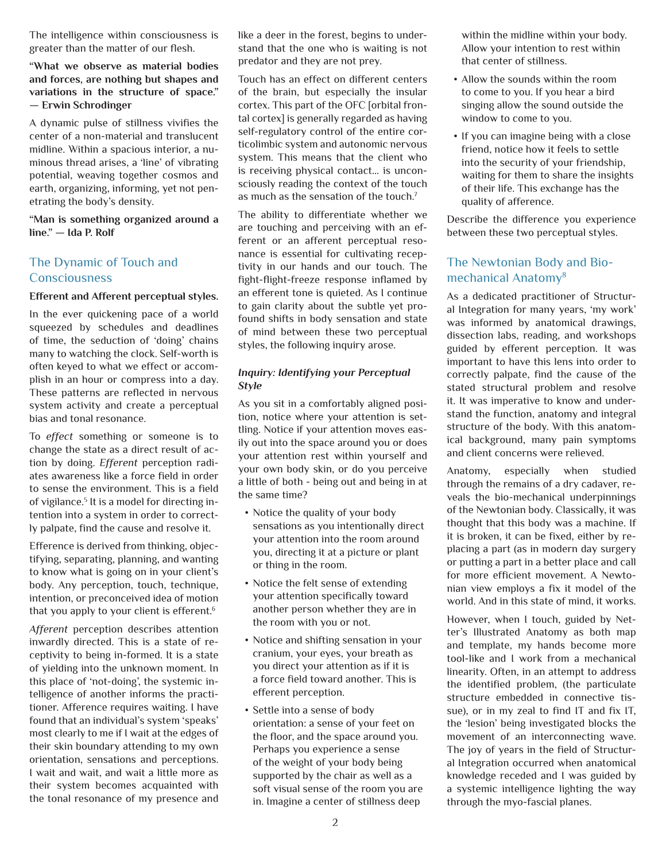The intelligence within consciousness is greater than the matter of our flesh.

**"What we observe as material bodies and forces, are nothing but shapes and variations in the structure of space." — Erwin Schrodinger**

A dynamic pulse of stillness vivifies the center of a non-material and translucent midline. Within a spacious interior, a numinous thread arises, a 'line' of vibrating potential, weaving together cosmos and earth, organizing, informing, yet not penetrating the body's density.

**"Man is something organized around a line." — Ida P. Rolf**

# The Dynamic of Touch and **Consciousness**

#### **Efferent and Afferent perceptual styles.**

In the ever quickening pace of a world squeezed by schedules and deadlines of time, the seduction of 'doing' chains many to watching the clock. Self-worth is often keyed to what we effect or accomplish in an hour or compress into a day. These patterns are reflected in nervous system activity and create a perceptual bias and tonal resonance.

To *effect* something or someone is to change the state as a direct result of action by doing. *Efferent* perception radiates awareness like a force field in order to sense the environment. This is a field of vigilance.<sup>5</sup> It is a model for directing intention into a system in order to correctly palpate, find the cause and resolve it.

Efference is derived from thinking, objectifying, separating, planning, and wanting to know what is going on in your client's body. Any perception, touch, technique, intention, or preconceived idea of motion that you apply to your client is efferent.<sup>6</sup>

*Afferent* perception describes attention inwardly directed. This is a state of receptivity to being in-formed. It is a state of yielding into the unknown moment. In this place of 'not-doing', the systemic intelligence of another informs the practitioner. Afference requires waiting. I have found that an individual's system 'speaks' most clearly to me if I wait at the edges of their skin boundary attending to my own orientation, sensations and perceptions. I wait and wait, and wait a little more as their system becomes acquainted with the tonal resonance of my presence and like a deer in the forest, begins to understand that the one who is waiting is not predator and they are not prey.

Touch has an effect on different centers of the brain, but especially the insular cortex. This part of the OFC [orbital frontal cortex] is generally regarded as having self-regulatory control of the entire corticolimbic system and autonomic nervous system. This means that the client who is receiving physical contact… is unconsciously reading the context of the touch as much as the sensation of the touch.7

The ability to differentiate whether we are touching and perceiving with an efferent or an afferent perceptual resonance is essential for cultivating receptivity in our hands and our touch. The fight-flight-freeze response inflamed by an efferent tone is quieted. As I continue to gain clarity about the subtle yet profound shifts in body sensation and state of mind between these two perceptual styles, the following inquiry arose.

### *Inquiry: Identifying your Perceptual Style*

As you sit in a comfortably aligned position, notice where your attention is settling. Notice if your attention moves easily out into the space around you or does your attention rest within yourself and your own body skin, or do you perceive a little of both - being out and being in at the same time?

- Notice the quality of your body sensations as you intentionally direct your attention into the room around you, directing it at a picture or plant or thing in the room.
- • Notice the felt sense of extending your attention specifically toward another person whether they are in the room with you or not.
- • Notice and shifting sensation in your cranium, your eyes, your breath as you direct your attention as if it is a force field toward another. This is efferent perception.
- Settle into a sense of body orientation: a sense of your feet on the floor, and the space around you. Perhaps you experience a sense of the weight of your body being supported by the chair as well as a soft visual sense of the room you are in. Imagine a center of stillness deep

within the midline within your body. Allow your intention to rest within that center of stillness.

- Allow the sounds within the room to come to you. If you hear a bird singing allow the sound outside the window to come to you.
- • If you can imagine being with a close friend, notice how it feels to settle into the security of your friendship, waiting for them to share the insights of their life. This exchange has the quality of afference.

Describe the difference you experience between these two perceptual styles.

# The Newtonian Body and Biomechanical Anatomy<sup>8</sup>

As a dedicated practitioner of Structural Integration for many years, 'my work' was informed by anatomical drawings, dissection labs, reading, and workshops guided by efferent perception. It was important to have this lens into order to correctly palpate, find the cause of the stated structural problem and resolve it. It was imperative to know and understand the function, anatomy and integral structure of the body. With this anatomical background, many pain symptoms and client concerns were relieved.

Anatomy, especially when studied through the remains of a dry cadaver, reveals the bio-mechanical underpinnings of the Newtonian body. Classically, it was thought that this body was a machine. If it is broken, it can be fixed, either by replacing a part (as in modern day surgery or putting a part in a better place and call for more efficient movement. A Newtonian view employs a fix it model of the world. And in this state of mind, it works.

However, when I touch, guided by Netter's Illustrated Anatomy as both map and template, my hands become more tool-like and I work from a mechanical linearity. Often, in an attempt to address the identified problem, (the particulate structure embedded in connective tissue), or in my zeal to find IT and fix IT, the 'lesion' being investigated blocks the movement of an interconnecting wave. The joy of years in the field of Structural Integration occurred when anatomical knowledge receded and I was guided by a systemic intelligence lighting the way through the myo-fascial planes.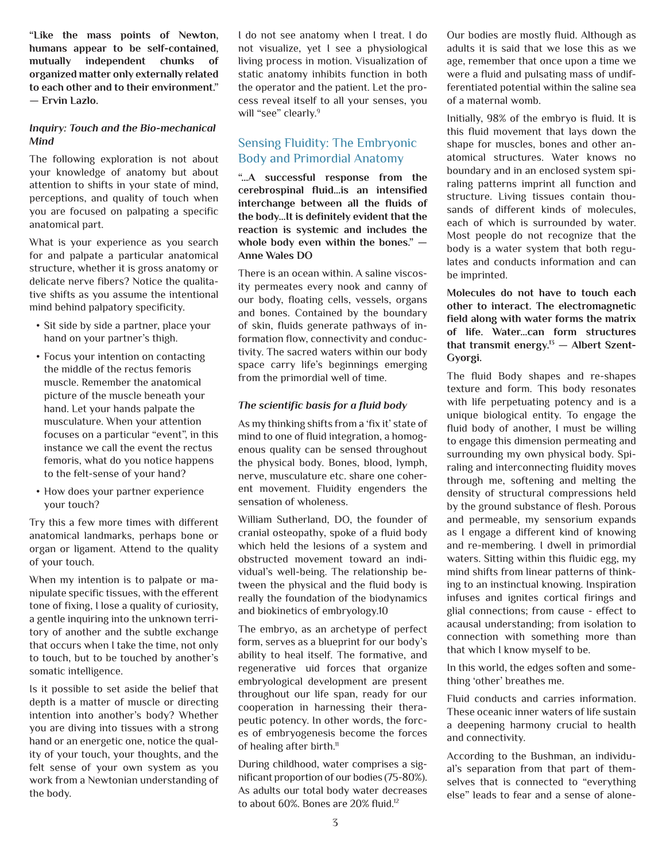**"Like the mass points of Newton, humans appear to be self-contained, mutually independent chunks of organized matter only externally related to each other and to their environment." — Ervin Lazlo.**

#### *Inquiry: Touch and the Bio-mechanical Mind*

The following exploration is not about your knowledge of anatomy but about attention to shifts in your state of mind, perceptions, and quality of touch when you are focused on palpating a specific anatomical part.

What is your experience as you search for and palpate a particular anatomical structure, whether it is gross anatomy or delicate nerve fibers? Notice the qualitative shifts as you assume the intentional mind behind palpatory specificity.

- Sit side by side a partner, place your hand on your partner's thigh.
- • Focus your intention on contacting the middle of the rectus femoris muscle. Remember the anatomical picture of the muscle beneath your hand. Let your hands palpate the musculature. When your attention focuses on a particular "event", in this instance we call the event the rectus femoris, what do you notice happens to the felt-sense of your hand?
- How does your partner experience your touch?

Try this a few more times with different anatomical landmarks, perhaps bone or organ or ligament. Attend to the quality of your touch.

When my intention is to palpate or manipulate specific tissues, with the efferent tone of fixing, I lose a quality of curiosity, a gentle inquiring into the unknown territory of another and the subtle exchange that occurs when I take the time, not only to touch, but to be touched by another's somatic intelligence.

Is it possible to set aside the belief that depth is a matter of muscle or directing intention into another's body? Whether you are diving into tissues with a strong hand or an energetic one, notice the quality of your touch, your thoughts, and the felt sense of your own system as you work from a Newtonian understanding of the body.

I do not see anatomy when I treat. I do not visualize, yet I see a physiological living process in motion. Visualization of static anatomy inhibits function in both the operator and the patient. Let the process reveal itself to all your senses, you will "see" clearly.<sup>9</sup>

# Sensing Fluidity: The Embryonic Body and Primordial Anatomy

**"…A successful response from the cerebrospinal fluid…is an intensified interchange between all the fluids of the body…It is definitely evident that the reaction is systemic and includes the whole body even within the bones." — Anne Wales DO**

There is an ocean within. A saline viscosity permeates every nook and canny of our body, floating cells, vessels, organs and bones. Contained by the boundary of skin, fluids generate pathways of information flow, connectivity and conductivity. The sacred waters within our body space carry life's beginnings emerging from the primordial well of time.

### *The scientific basis for a fluid body*

As my thinking shifts from a 'fix it' state of mind to one of fluid integration, a homogenous quality can be sensed throughout the physical body. Bones, blood, lymph, nerve, musculature etc. share one coherent movement. Fluidity engenders the sensation of wholeness.

William Sutherland, DO, the founder of cranial osteopathy, spoke of a fluid body which held the lesions of a system and obstructed movement toward an individual's well-being. The relationship between the physical and the fluid body is really the foundation of the biodynamics and biokinetics of embryology.10

The embryo, as an archetype of perfect form, serves as a blueprint for our body's ability to heal itself. The formative, and regenerative uid forces that organize embryological development are present throughout our life span, ready for our cooperation in harnessing their therapeutic potency. In other words, the forces of embryogenesis become the forces of healing after birth.<sup>11</sup>

During childhood, water comprises a significant proportion of our bodies (75-80%). As adults our total body water decreases to about 60%. Bones are 20% fluid.<sup>12</sup>

Our bodies are mostly fluid. Although as adults it is said that we lose this as we age, remember that once upon a time we were a fluid and pulsating mass of undifferentiated potential within the saline sea of a maternal womb.

Initially, 98% of the embryo is fluid. It is this fluid movement that lays down the shape for muscles, bones and other anatomical structures. Water knows no boundary and in an enclosed system spiraling patterns imprint all function and structure. Living tissues contain thousands of different kinds of molecules, each of which is surrounded by water. Most people do not recognize that the body is a water system that both regulates and conducts information and can be imprinted.

**Molecules do not have to touch each other to interact. The electromagnetic field along with water forms the matrix of life. Water…can form structures that transmit energy.13 — Albert Szent-Gyorgi.**

The fluid Body shapes and re-shapes texture and form. This body resonates with life perpetuating potency and is a unique biological entity. To engage the fluid body of another, I must be willing to engage this dimension permeating and surrounding my own physical body. Spiraling and interconnecting fluidity moves through me, softening and melting the density of structural compressions held by the ground substance of flesh. Porous and permeable, my sensorium expands as I engage a different kind of knowing and re-membering. I dwell in primordial waters. Sitting within this fluidic egg, my mind shifts from linear patterns of thinking to an instinctual knowing. Inspiration infuses and ignites cortical firings and glial connections; from cause - effect to acausal understanding; from isolation to connection with something more than that which I know myself to be.

In this world, the edges soften and something 'other' breathes me.

Fluid conducts and carries information. These oceanic inner waters of life sustain a deepening harmony crucial to health and connectivity.

According to the Bushman, an individual's separation from that part of themselves that is connected to "everything else" leads to fear and a sense of alone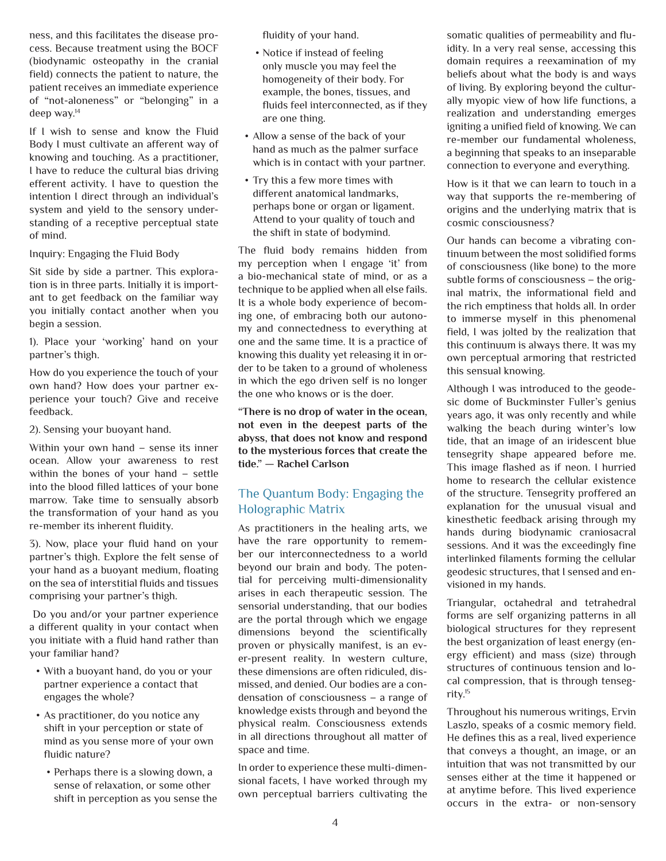ness, and this facilitates the disease process. Because treatment using the BOCF (biodynamic osteopathy in the cranial field) connects the patient to nature, the patient receives an immediate experience of "not-aloneness" or "belonging" in a deep way.14

If I wish to sense and know the Fluid Body I must cultivate an afferent way of knowing and touching. As a practitioner, I have to reduce the cultural bias driving efferent activity. I have to question the intention I direct through an individual's system and yield to the sensory understanding of a receptive perceptual state of mind.

#### Inquiry: Engaging the Fluid Body

Sit side by side a partner. This exploration is in three parts. Initially it is important to get feedback on the familiar way you initially contact another when you begin a session.

1). Place your 'working' hand on your partner's thigh.

How do you experience the touch of your own hand? How does your partner experience your touch? Give and receive feedback.

2). Sensing your buoyant hand.

Within your own hand – sense its inner ocean. Allow your awareness to rest within the bones of your hand – settle into the blood filled lattices of your bone marrow. Take time to sensually absorb the transformation of your hand as you re-member its inherent fluidity.

3). Now, place your fluid hand on your partner's thigh. Explore the felt sense of your hand as a buoyant medium, floating on the sea of interstitial fluids and tissues comprising your partner's thigh.

 Do you and/or your partner experience a different quality in your contact when you initiate with a fluid hand rather than your familiar hand?

- • With a buoyant hand, do you or your partner experience a contact that engages the whole?
- As practitioner, do you notice any shift in your perception or state of mind as you sense more of your own fluidic nature?
	- • Perhaps there is a slowing down, a sense of relaxation, or some other shift in perception as you sense the

fluidity of your hand.

- • Notice if instead of feeling only muscle you may feel the homogeneity of their body. For example, the bones, tissues, and fluids feel interconnected, as if they are one thing.
- • Allow a sense of the back of your hand as much as the palmer surface which is in contact with your partner.
- • Try this a few more times with different anatomical landmarks, perhaps bone or organ or ligament. Attend to your quality of touch and the shift in state of bodymind.

The fluid body remains hidden from my perception when I engage 'it' from a bio-mechanical state of mind, or as a technique to be applied when all else fails. It is a whole body experience of becoming one, of embracing both our autonomy and connectedness to everything at one and the same time. It is a practice of knowing this duality yet releasing it in order to be taken to a ground of wholeness in which the ego driven self is no longer the one who knows or is the doer.

**"There is no drop of water in the ocean, not even in the deepest parts of the abyss, that does not know and respond to the mysterious forces that create the tide." — Rachel Carlson**

# The Quantum Body: Engaging the Holographic Matrix

As practitioners in the healing arts, we have the rare opportunity to remember our interconnectedness to a world beyond our brain and body. The potential for perceiving multi-dimensionality arises in each therapeutic session. The sensorial understanding, that our bodies are the portal through which we engage dimensions beyond the scientifically proven or physically manifest, is an ever-present reality. In western culture, these dimensions are often ridiculed, dismissed, and denied. Our bodies are a condensation of consciousness – a range of knowledge exists through and beyond the physical realm. Consciousness extends in all directions throughout all matter of space and time.

In order to experience these multi-dimensional facets, I have worked through my own perceptual barriers cultivating the somatic qualities of permeability and fluidity. In a very real sense, accessing this domain requires a reexamination of my beliefs about what the body is and ways of living. By exploring beyond the culturally myopic view of how life functions, a realization and understanding emerges igniting a unified field of knowing. We can re-member our fundamental wholeness, a beginning that speaks to an inseparable connection to everyone and everything.

How is it that we can learn to touch in a way that supports the re-membering of origins and the underlying matrix that is cosmic consciousness?

Our hands can become a vibrating continuum between the most solidified forms of consciousness (like bone) to the more subtle forms of consciousness – the original matrix, the informational field and the rich emptiness that holds all. In order to immerse myself in this phenomenal field, I was jolted by the realization that this continuum is always there. It was my own perceptual armoring that restricted this sensual knowing.

Although I was introduced to the geodesic dome of Buckminster Fuller's genius years ago, it was only recently and while walking the beach during winter's low tide, that an image of an iridescent blue tensegrity shape appeared before me. This image flashed as if neon. I hurried home to research the cellular existence of the structure. Tensegrity proffered an explanation for the unusual visual and kinesthetic feedback arising through my hands during biodynamic craniosacral sessions. And it was the exceedingly fine interlinked filaments forming the cellular geodesic structures, that I sensed and envisioned in my hands.

Triangular, octahedral and tetrahedral forms are self organizing patterns in all biological structures for they represent the best organization of least energy (energy efficient) and mass (size) through structures of continuous tension and local compression, that is through tensegrity.15

Throughout his numerous writings, Ervin Laszlo, speaks of a cosmic memory field. He defines this as a real, lived experience that conveys a thought, an image, or an intuition that was not transmitted by our senses either at the time it happened or at anytime before. This lived experience occurs in the extra- or non-sensory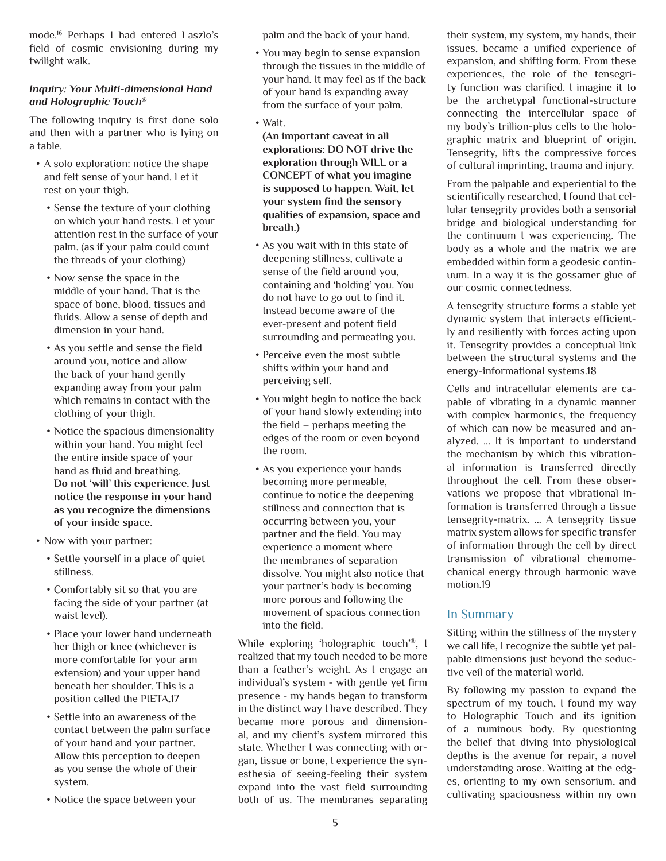mode.16 Perhaps I had entered Laszlo's field of cosmic envisioning during my twilight walk.

### *Inquiry: Your Multi-dimensional Hand and Holographic Touch®*

The following inquiry is first done solo and then with a partner who is lying on a table.

- • A solo exploration: notice the shape and felt sense of your hand. Let it rest on your thigh.
	- • Sense the texture of your clothing on which your hand rests. Let your attention rest in the surface of your palm. (as if your palm could count the threads of your clothing)
	- • Now sense the space in the middle of your hand. That is the space of bone, blood, tissues and fluids. Allow a sense of depth and dimension in your hand.
	- • As you settle and sense the field around you, notice and allow the back of your hand gently expanding away from your palm which remains in contact with the clothing of your thigh.
	- • Notice the spacious dimensionality within your hand. You might feel the entire inside space of your hand as fluid and breathing. **Do not 'will' this experience. Just notice the response in your hand as you recognize the dimensions of your inside space.**
- • Now with your partner:
	- • Settle yourself in a place of quiet stillness.
	- • Comfortably sit so that you are facing the side of your partner (at waist level).
	- Place your lower hand underneath her thigh or knee (whichever is more comfortable for your arm extension) and your upper hand beneath her shoulder. This is a position called the PIETA.17
	- • Settle into an awareness of the contact between the palm surface of your hand and your partner. Allow this perception to deepen as you sense the whole of their system.
	- • Notice the space between your

palm and the back of your hand.

- • You may begin to sense expansion through the tissues in the middle of your hand. It may feel as if the back of your hand is expanding away from the surface of your palm.
- • Wait.

**(An important caveat in all explorations: DO NOT drive the exploration through WILL or a CONCEPT of what you imagine is supposed to happen. Wait, let your system find the sensory qualities of expansion, space and breath.)**

- As you wait with in this state of deepening stillness, cultivate a sense of the field around you, containing and 'holding' you. You do not have to go out to find it. Instead become aware of the ever-present and potent field surrounding and permeating you.
- • Perceive even the most subtle shifts within your hand and perceiving self.
- • You might begin to notice the back of your hand slowly extending into the field – perhaps meeting the edges of the room or even beyond the room.
- • As you experience your hands becoming more permeable, continue to notice the deepening stillness and connection that is occurring between you, your partner and the field. You may experience a moment where the membranes of separation dissolve. You might also notice that your partner's body is becoming more porous and following the movement of spacious connection into the field.

While exploring 'holographic touch'®, I realized that my touch needed to be more than a feather's weight. As I engage an individual's system - with gentle yet firm presence - my hands began to transform in the distinct way I have described. They became more porous and dimensional, and my client's system mirrored this state. Whether I was connecting with organ, tissue or bone, I experience the synesthesia of seeing-feeling their system expand into the vast field surrounding both of us. The membranes separating

their system, my system, my hands, their issues, became a unified experience of expansion, and shifting form. From these experiences, the role of the tensegrity function was clarified. I imagine it to be the archetypal functional-structure connecting the intercellular space of my body's trillion-plus cells to the holographic matrix and blueprint of origin. Tensegrity, lifts the compressive forces of cultural imprinting, trauma and injury.

From the palpable and experiential to the scientifically researched, I found that cellular tensegrity provides both a sensorial bridge and biological understanding for the continuum I was experiencing. The body as a whole and the matrix we are embedded within form a geodesic continuum. In a way it is the gossamer glue of our cosmic connectedness.

A tensegrity structure forms a stable yet dynamic system that interacts efficiently and resiliently with forces acting upon it. Tensegrity provides a conceptual link between the structural systems and the energy-informational systems.18

Cells and intracellular elements are capable of vibrating in a dynamic manner with complex harmonics, the frequency of which can now be measured and analyzed. … It is important to understand the mechanism by which this vibrational information is transferred directly throughout the cell. From these observations we propose that vibrational information is transferred through a tissue tensegrity-matrix. … A tensegrity tissue matrix system allows for specific transfer of information through the cell by direct transmission of vibrational chemomechanical energy through harmonic wave motion.19

## In Summary

Sitting within the stillness of the mystery we call life, I recognize the subtle yet palpable dimensions just beyond the seductive veil of the material world.

By following my passion to expand the spectrum of my touch, I found my way to Holographic Touch and its ignition of a numinous body. By questioning the belief that diving into physiological depths is the avenue for repair, a novel understanding arose. Waiting at the edges, orienting to my own sensorium, and cultivating spaciousness within my own